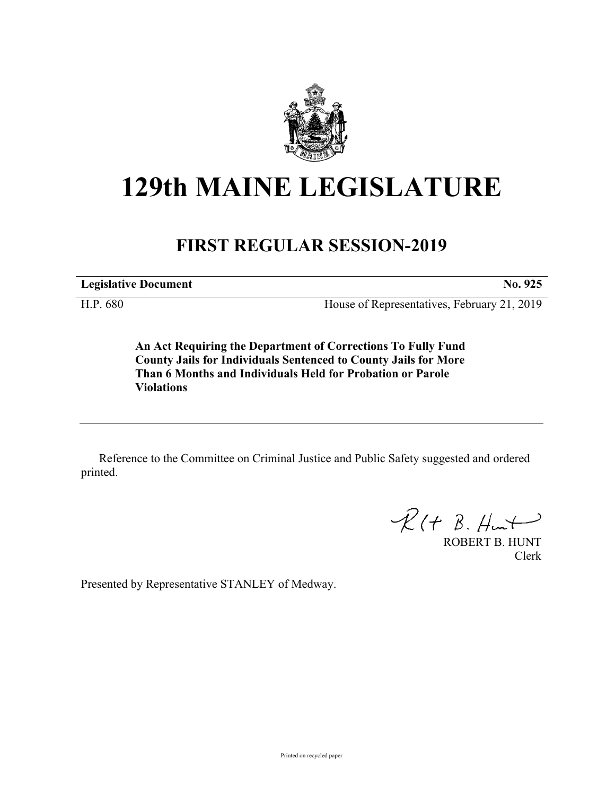

## **129th MAINE LEGISLATURE**

## **FIRST REGULAR SESSION-2019**

**Legislative Document No. 925**

H.P. 680 House of Representatives, February 21, 2019

**An Act Requiring the Department of Corrections To Fully Fund County Jails for Individuals Sentenced to County Jails for More Than 6 Months and Individuals Held for Probation or Parole Violations**

Reference to the Committee on Criminal Justice and Public Safety suggested and ordered printed.

 $R(H B. H<sub>un</sub>)$ 

ROBERT B. HUNT Clerk

Presented by Representative STANLEY of Medway.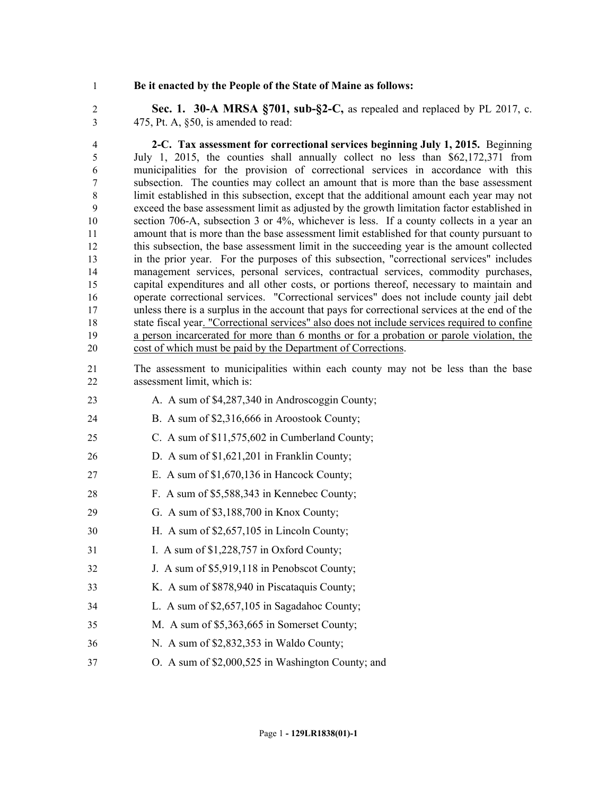## **Be it enacted by the People of the State of Maine as follows:**

 **Sec. 1. 30-A MRSA §701, sub-§2-C,** as repealed and replaced by PL 2017, c. 475, Pt. A, §50, is amended to read:

 **2-C. Tax assessment for correctional services beginning July 1, 2015.** Beginning July 1, 2015, the counties shall annually collect no less than \$62,172,371 from municipalities for the provision of correctional services in accordance with this subsection. The counties may collect an amount that is more than the base assessment limit established in this subsection, except that the additional amount each year may not exceed the base assessment limit as adjusted by the growth limitation factor established in section 706-A, subsection 3 or 4%, whichever is less. If a county collects in a year an amount that is more than the base assessment limit established for that county pursuant to this subsection, the base assessment limit in the succeeding year is the amount collected in the prior year. For the purposes of this subsection, "correctional services" includes management services, personal services, contractual services, commodity purchases, capital expenditures and all other costs, or portions thereof, necessary to maintain and operate correctional services. "Correctional services" does not include county jail debt unless there is a surplus in the account that pays for correctional services at the end of the state fiscal year. "Correctional services" also does not include services required to confine a person incarcerated for more than 6 months or for a probation or parole violation, the cost of which must be paid by the Department of Corrections.

- The assessment to municipalities within each county may not be less than the base assessment limit, which is:
- 23 A. A sum of \$4,287,340 in Androscoggin County;
- B. A sum of \$2,316,666 in Aroostook County;
- C. A sum of \$11,575,602 in Cumberland County;
- D. A sum of \$1,621,201 in Franklin County;
- E. A sum of \$1,670,136 in Hancock County;
- F. A sum of \$5,588,343 in Kennebec County;
- G. A sum of \$3,188,700 in Knox County;
- H. A sum of \$2,657,105 in Lincoln County;
- 31 I. A sum of \$1,228,757 in Oxford County;
- J. A sum of \$5,919,118 in Penobscot County;
- K. A sum of \$878,940 in Piscataquis County;
- L. A sum of \$2,657,105 in Sagadahoc County;
- M. A sum of \$5,363,665 in Somerset County;
- N. A sum of \$2,832,353 in Waldo County;
- O. A sum of \$2,000,525 in Washington County; and